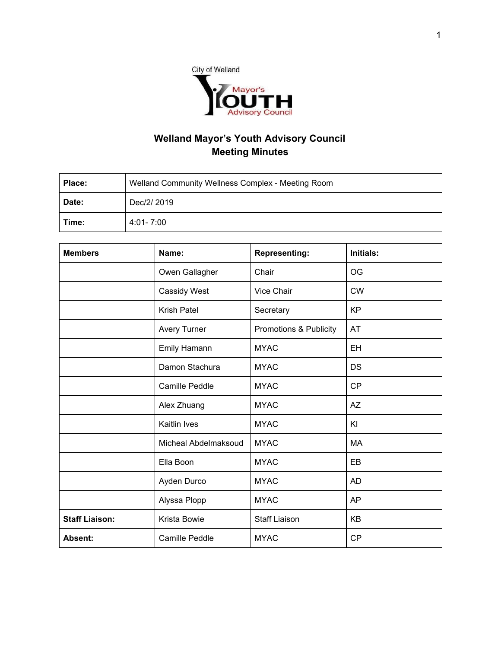

## **Welland Mayor's Youth Advisory Council Meeting Minutes**

| Place: | Welland Community Wellness Complex - Meeting Room |  |  |
|--------|---------------------------------------------------|--|--|
| Date:  | Dec/2/ 2019                                       |  |  |
| Time:  | 4:01-7:00                                         |  |  |

| <b>Members</b>        | Name:                 | <b>Representing:</b>   | <b>Initials:</b> |
|-----------------------|-----------------------|------------------------|------------------|
|                       | Owen Gallagher        | Chair                  | <b>OG</b>        |
|                       | Cassidy West          | Vice Chair             | <b>CW</b>        |
|                       | <b>Krish Patel</b>    | Secretary              | <b>KP</b>        |
|                       | <b>Avery Turner</b>   | Promotions & Publicity | AT               |
|                       | Emily Hamann          | <b>MYAC</b>            | EH               |
|                       | Damon Stachura        | <b>MYAC</b>            | <b>DS</b>        |
|                       | <b>Camille Peddle</b> | <b>MYAC</b>            | <b>CP</b>        |
|                       | Alex Zhuang           | <b>MYAC</b>            | <b>AZ</b>        |
|                       | Kaitlin Ives          | <b>MYAC</b>            | KI               |
|                       | Micheal Abdelmaksoud  | <b>MYAC</b>            | <b>MA</b>        |
|                       | Ella Boon             | <b>MYAC</b>            | EB               |
|                       | Ayden Durco           | <b>MYAC</b>            | AD               |
|                       | Alyssa Plopp          | <b>MYAC</b>            | AP               |
| <b>Staff Liaison:</b> | Krista Bowie          | <b>Staff Liaison</b>   | KB               |
| Absent:               | <b>Camille Peddle</b> | <b>MYAC</b>            | <b>CP</b>        |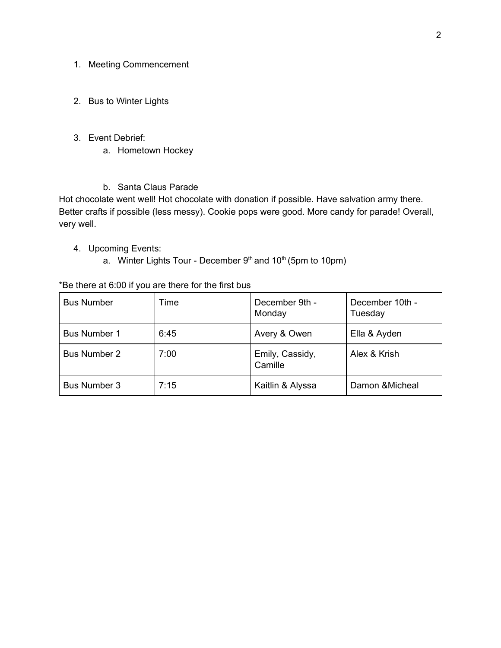- 1. Meeting Commencement
- 2. Bus to Winter Lights
- 3. Event Debrief:
	- a. Hometown Hockey
	- b. Santa Claus Parade

 Hot chocolate went well! Hot chocolate with donation if possible. Have salvation army there. Better crafts if possible (less messy). Cookie pops were good. More candy for parade! Overall, very well.

- 4. Upcoming Events:
	- a. Winter Lights Tour December  $9<sup>th</sup>$  and 10<sup>th</sup> (5pm to 10pm)

## \*Be there at 6:00 if you are there for the first bus

| <b>Bus Number</b>   | Time | December 9th -<br>Monday   | December 10th -<br>Tuesday |
|---------------------|------|----------------------------|----------------------------|
| <b>Bus Number 1</b> | 6:45 | Avery & Owen               | Ella & Ayden               |
| <b>Bus Number 2</b> | 7:00 | Emily, Cassidy,<br>Camille | Alex & Krish               |
| <b>Bus Number 3</b> | 7:15 | Kaitlin & Alyssa           | Damon & Micheal            |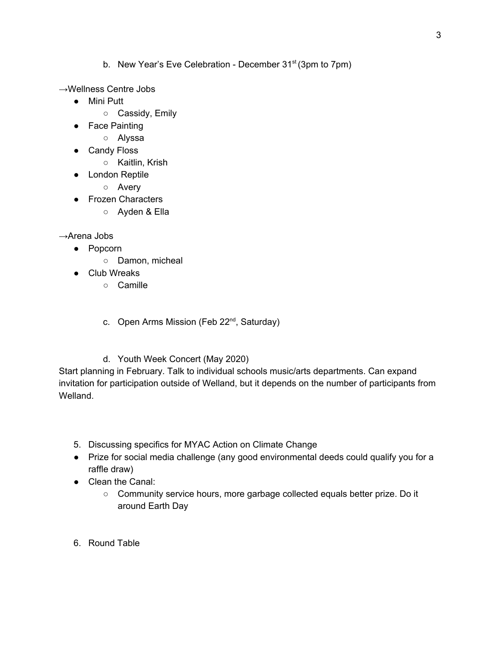- b. New Year's Eve Celebration December 31<sup>st</sup> (3pm to 7pm)
- →Wellness Centre Jobs
	- Mini Putt
		- Cassidy, Emily
	- Face Painting
		- Alyssa
	- Candy Floss
		- Kaitlin, Krish
	- London Reptile
		- Avery
	- Frozen Characters
		- Ayden & Ella

→Arena Jobs

- Popcorn
	- Damon, micheal
- Club Wreaks
	- Camille
	- c. Open Arms Mission (Feb 22<sup>nd</sup>, Saturday)
	- d. Youth Week Concert (May 2020)

 Start planning in February. Talk to individual schools music/arts departments. Can expand invitation for participation outside of Welland, but it depends on the number of participants from Welland.

- 5. Discussing specifics for MYAC Action on Climate Change
- ● Prize for social media challenge (any good environmental deeds could qualify you for a raffle draw)
- ● Clean the Canal:
	- Community service hours, more garbage collected equals better prize. Do it around Earth Day
- 6. Round Table